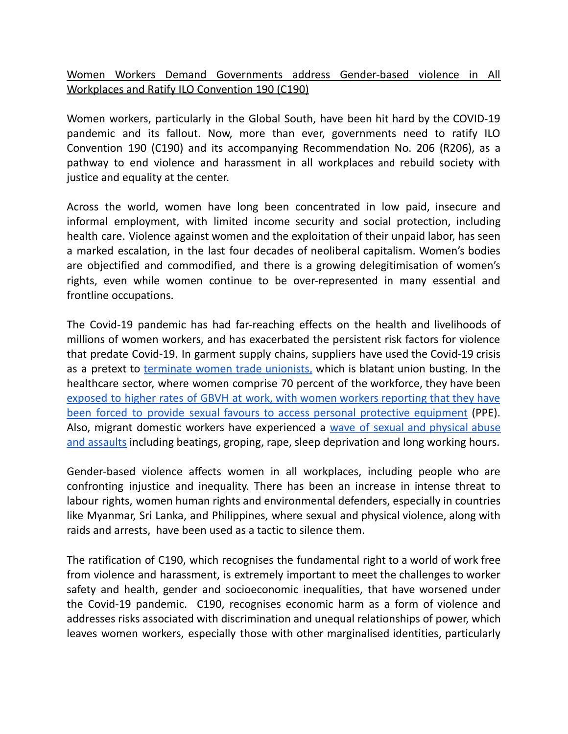Women Workers Demand Governments address Gender-based violence in All Workplaces and Ratify ILO Convention 190 (C190)

Women workers, particularly in the Global South, have been hit hard by the COVID-19 pandemic and its fallout. Now, more than ever, governments need to ratify ILO Convention 190 (C190) and its accompanying Recommendation No. 206 (R206), as a pathway to end violence and harassment in all workplaces and rebuild society with justice and equality at the center.

Across the world, women have long been concentrated in low paid, insecure and informal employment, with limited income security and social protection, including health care. Violence against women and the exploitation of their unpaid labor, has seen a marked escalation, in the last four decades of neoliberal capitalism. Women's bodies are objectified and commodified, and there is a growing delegitimisation of women's rights, even while women continue to be over-represented in many essential and frontline occupations.

The Covid-19 pandemic has had far-reaching effects on the health and livelihoods of millions of women workers, and has exacerbated the persistent risk factors for violence that predate Covid-19. In garment supply chains, suppliers have used the Covid-19 crisis as a pretext to [terminate](https://media.business-humanrights.org/media/documents/files/200805_Union_busting_unfair_dismissals_garment_workers_during_COVID19.pdf) women trade unionists, which is blatant union busting. In the healthcare sector, where women comprise 70 percent of the workforce, they have been exposed to higher rates of GBVH at work, with women workers [reporting](https://publicservices.international/resources/news/-caught-between-the-pandemic-and-the-right-to-protection?id=10868&lang=en) that they have been forced to provide sexual favours to access personal protective [equipment](https://publicservices.international/resources/news/-caught-between-the-pandemic-and-the-right-to-protection?id=10868&lang=en) (PPE). Also, migrant domestic workers have experienced a wave of sexual and [physical](https://hongkongfp.com/2021/06/29/hong-kong-domestic-workers-faced-wave-of-sex-attacks-and-physical-abuse-during-pandemic-lockdown/) abuse and [assaults](https://hongkongfp.com/2021/06/29/hong-kong-domestic-workers-faced-wave-of-sex-attacks-and-physical-abuse-during-pandemic-lockdown/) including beatings, groping, rape, sleep deprivation and long working hours.

Gender-based violence affects women in all workplaces, including people who are confronting injustice and inequality. There has been an increase in intense threat to labour rights, women human rights and environmental defenders, especially in countries like Myanmar, Sri Lanka, and Philippines, where sexual and physical violence, along with raids and arrests, have been used as a tactic to silence them.

The ratification of C190, which recognises the fundamental right to a world of work free from violence and harassment, is extremely important to meet the challenges to worker safety and health, gender and socioeconomic inequalities, that have worsened under the Covid-19 pandemic. C190, recognises economic harm as a form of violence and addresses risks associated with discrimination and unequal relationships of power, which leaves women workers, especially those with other marginalised identities, particularly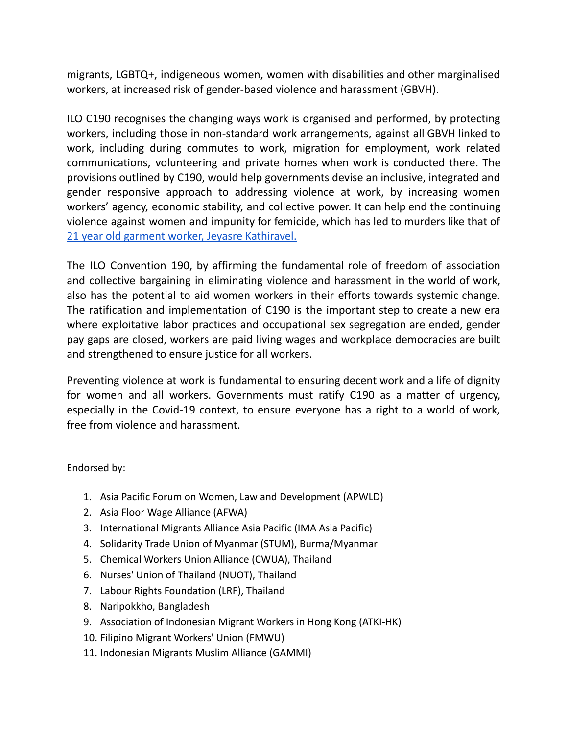migrants, LGBTQ+, indigeneous women, women with disabilities and other marginalised workers, at increased risk of gender-based violence and harassment (GBVH).

ILO C190 recognises the changing ways work is organised and performed, by protecting workers, including those in non-standard work arrangements, against all GBVH linked to work, including during commutes to work, migration for employment, work related communications, volunteering and private homes when work is conducted there. The provisions outlined by C190, would help governments devise an inclusive, integrated and gender responsive approach to addressing violence at work, by increasing women workers' agency, economic stability, and collective power. It can help end the continuing violence against women and impunity for femicide, which has led to murders like that of 21 year old garment worker, Jeyasre [Kathiravel.](https://justiceforjeyasre.com/)

The ILO Convention 190, by affirming the fundamental role of freedom of association and collective bargaining in eliminating violence and harassment in the world of work, also has the potential to aid women workers in their efforts towards systemic change. The ratification and implementation of C190 is the important step to create a new era where exploitative labor practices and occupational sex segregation are ended, gender pay gaps are closed, workers are paid living wages and workplace democracies are built and strengthened to ensure justice for all workers.

Preventing violence at work is fundamental to ensuring decent work and a life of dignity for women and all workers. Governments must ratify C190 as a matter of urgency, especially in the Covid-19 context, to ensure everyone has a right to a world of work, free from violence and harassment.

Endorsed by:

- 1. Asia Pacific Forum on Women, Law and Development (APWLD)
- 2. Asia Floor Wage Alliance (AFWA)
- 3. International Migrants Alliance Asia Pacific (IMA Asia Pacific)
- 4. Solidarity Trade Union of Myanmar (STUM), Burma/Myanmar
- 5. Chemical Workers Union Alliance (CWUA), Thailand
- 6. Nurses' Union of Thailand (NUOT), Thailand
- 7. Labour Rights Foundation (LRF), Thailand
- 8. Naripokkho, Bangladesh
- 9. Association of Indonesian Migrant Workers in Hong Kong (ATKI-HK)
- 10. Filipino Migrant Workers' Union (FMWU)
- 11. Indonesian Migrants Muslim Alliance (GAMMI)